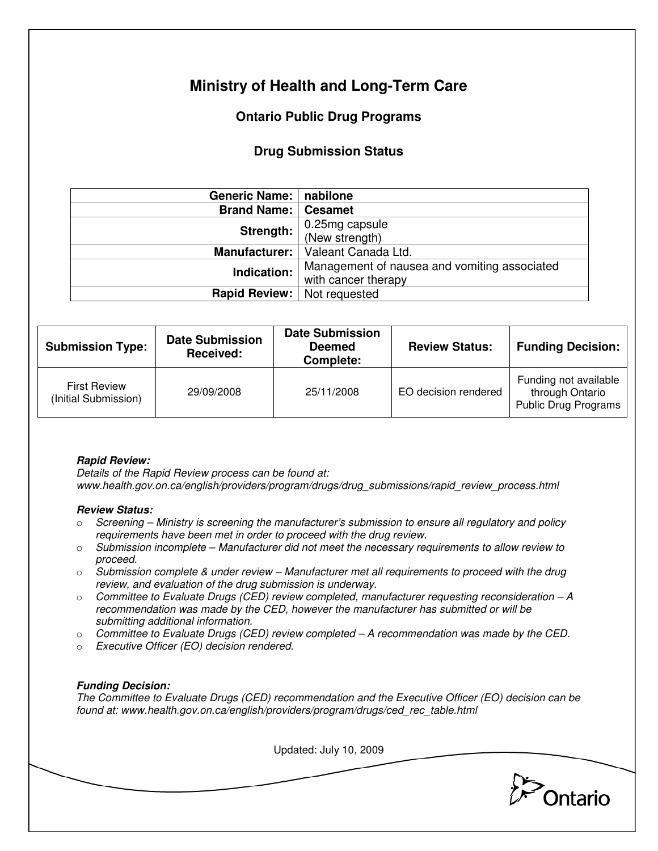# **Ministry of Health and Long-Term Care**

# **Ontario Public Drug Programs**

## **Drug Submission Status**

| Generic Name:      | nabilone                                     |  |  |
|--------------------|----------------------------------------------|--|--|
| <b>Brand Name:</b> | <b>Cesamet</b>                               |  |  |
| Strength:          | 0.25mg capsule<br>(New strength)             |  |  |
|                    |                                              |  |  |
| Manufacturer:      | Valeant Canada Ltd.                          |  |  |
| Indication:        | Management of nausea and vomiting associated |  |  |
|                    | with cancer therapy                          |  |  |
| Rapid Review:      | Not requested                                |  |  |

| <b>Submission Type:</b>                     | <b>Date Submission</b><br><b>Received:</b> | <b>Date Submission</b><br><b>Deemed</b><br>Complete: | <b>Review Status:</b> | <b>Funding Decision:</b>                                         |
|---------------------------------------------|--------------------------------------------|------------------------------------------------------|-----------------------|------------------------------------------------------------------|
| <b>First Review</b><br>(Initial Submission) | 29/09/2008                                 | 25/11/2008                                           | EO decision rendered  | Funding not available<br>through Ontario<br>Public Drug Programs |

## **Rapid Review:**

Details of the Rapid Review process can be found at: www.health.gov.on.ca/english/providers/program/drugs/drug\_submissions/rapid\_review\_process.html

### **Review Status:**

- $\circ$  Screening Ministry is screening the manufacturer's submission to ensure all regulatory and policy requirements have been met in order to proceed with the drug review.
- $\circ$  Submission incomplete Manufacturer did not meet the necessary requirements to allow review to proceed.
- $\circ$  Submission complete & under review Manufacturer met all requirements to proceed with the drug review, and evaluation of the drug submission is underway.
- $\circ$  Committee to Evaluate Drugs (CED) review completed, manufacturer requesting reconsideration A recommendation was made by the CED, however the manufacturer has submitted or will be submitting additional information.
- $\circ$  Committee to Evaluate Drugs (CED) review completed  $-A$  recommendation was made by the CED.
- o Executive Officer (EO) decision rendered.

### **Funding Decision:**

The Committee to Evaluate Drugs (CED) recommendation and the Executive Officer (EO) decision can be found at: www.health.gov.on.ca/english/providers/program/drugs/ced\_rec\_table.html

Updated: July 10, 2009